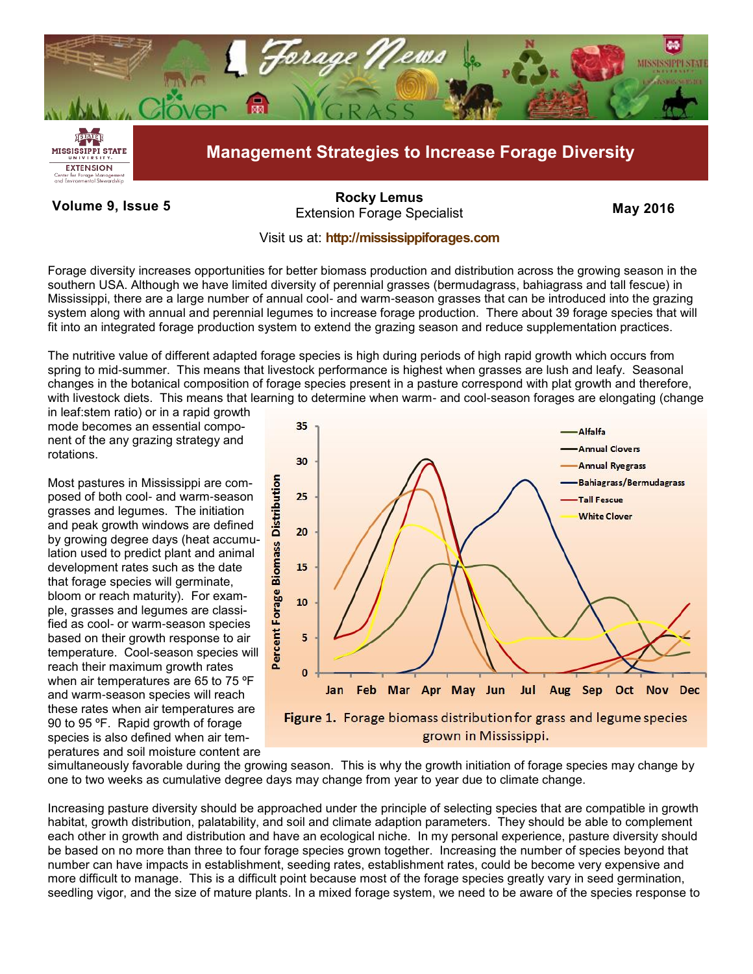

**Volume 9, Issue 5 May 2016** Extension Forage Specialist **[Rocky Lemus](mailto:RLemus@ext.msstate.edu?subject=Forage%20News:%20Janaury%202011)**

## Visit us at: **<http://mississippiforages.com>**

Forage diversity increases opportunities for better biomass production and distribution across the growing season in the southern USA. Although we have limited diversity of perennial grasses (bermudagrass, bahiagrass and tall fescue) in Mississippi, there are a large number of annual cool- and warm-season grasses that can be introduced into the grazing system along with annual and perennial legumes to increase forage production. There about 39 forage species that will fit into an integrated forage production system to extend the grazing season and reduce supplementation practices.

The nutritive value of different adapted forage species is high during periods of high rapid growth which occurs from spring to mid-summer. This means that livestock performance is highest when grasses are lush and leafy. Seasonal changes in the botanical composition of forage species present in a pasture correspond with plat growth and therefore, with livestock diets. This means that learning to determine when warm- and cool-season forages are elongating (change

in leaf:stem ratio) or in a rapid growth mode becomes an essential component of the any grazing strategy and rotations.

Most pastures in Mississippi are composed of both cool- and warm-season grasses and legumes. The initiation and peak growth windows are defined by growing degree days (heat accumulation used to predict plant and animal development rates such as the date that forage species will germinate, bloom or reach maturity). For example, grasses and legumes are classified as cool- or warm-season species based on their growth response to air temperature. Cool-season species will reach their maximum growth rates when air temperatures are 65 to 75 °F and warm-season species will reach these rates when air temperatures are 90 to 95 ºF. Rapid growth of forage species is also defined when air temperatures and soil moisture content are



simultaneously favorable during the growing season. This is why the growth initiation of forage species may change by one to two weeks as cumulative degree days may change from year to year due to climate change.

Increasing pasture diversity should be approached under the principle of selecting species that are compatible in growth habitat, growth distribution, palatability, and soil and climate adaption parameters. They should be able to complement each other in growth and distribution and have an ecological niche. In my personal experience, pasture diversity should be based on no more than three to four forage species grown together. Increasing the number of species beyond that number can have impacts in establishment, seeding rates, establishment rates, could be become very expensive and more difficult to manage. This is a difficult point because most of the forage species greatly vary in seed germination, seedling vigor, and the size of mature plants. In a mixed forage system, we need to be aware of the species response to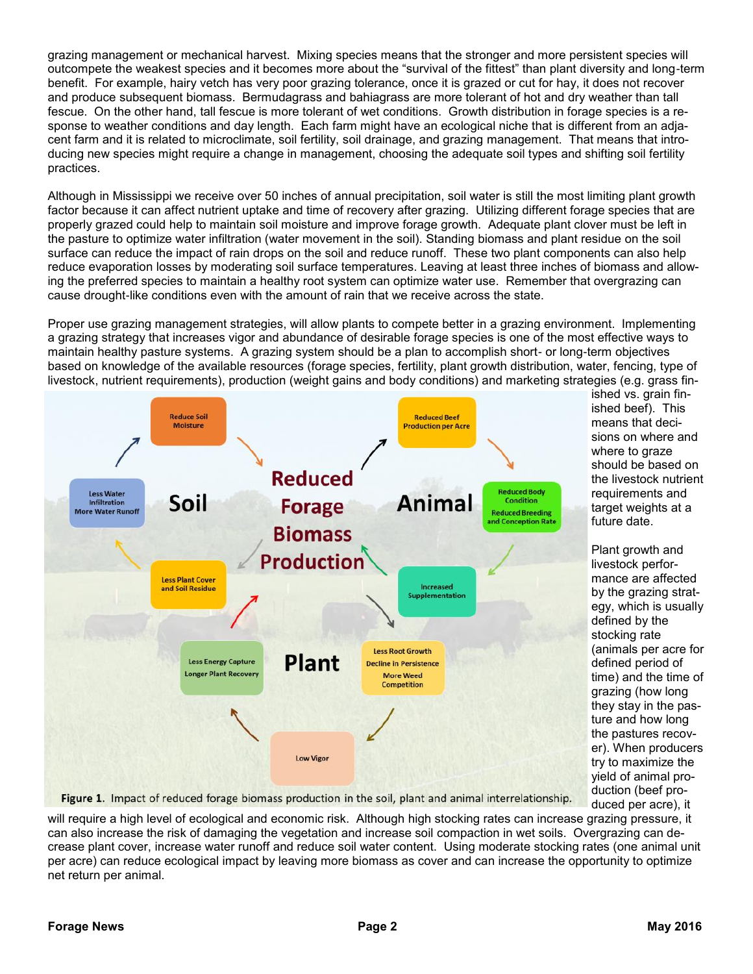grazing management or mechanical harvest. Mixing species means that the stronger and more persistent species will outcompete the weakest species and it becomes more about the "survival of the fittest" than plant diversity and long-term benefit. For example, hairy vetch has very poor grazing tolerance, once it is grazed or cut for hay, it does not recover and produce subsequent biomass. Bermudagrass and bahiagrass are more tolerant of hot and dry weather than tall fescue. On the other hand, tall fescue is more tolerant of wet conditions. Growth distribution in forage species is a response to weather conditions and day length. Each farm might have an ecological niche that is different from an adjacent farm and it is related to microclimate, soil fertility, soil drainage, and grazing management. That means that introducing new species might require a change in management, choosing the adequate soil types and shifting soil fertility practices.

Although in Mississippi we receive over 50 inches of annual precipitation, soil water is still the most limiting plant growth factor because it can affect nutrient uptake and time of recovery after grazing. Utilizing different forage species that are properly grazed could help to maintain soil moisture and improve forage growth. Adequate plant clover must be left in the pasture to optimize water infiltration (water movement in the soil). Standing biomass and plant residue on the soil surface can reduce the impact of rain drops on the soil and reduce runoff. These two plant components can also help reduce evaporation losses by moderating soil surface temperatures. Leaving at least three inches of biomass and allowing the preferred species to maintain a healthy root system can optimize water use. Remember that overgrazing can cause drought-like conditions even with the amount of rain that we receive across the state.

Proper use grazing management strategies, will allow plants to compete better in a grazing environment. Implementing a grazing strategy that increases vigor and abundance of desirable forage species is one of the most effective ways to maintain healthy pasture systems. A grazing system should be a plan to accomplish short- or long-term objectives based on knowledge of the available resources (forage species, fertility, plant growth distribution, water, fencing, type of livestock, nutrient requirements), production (weight gains and body conditions) and marketing strategies (e.g. grass fin-



ished vs. grain finished beef). This means that decisions on where and where to graze should be based on the livestock nutrient requirements and target weights at a future date.

Plant growth and livestock performance are affected by the grazing strategy, which is usually defined by the stocking rate (animals per acre for defined period of time) and the time of grazing (how long they stay in the pasture and how long the pastures recover). When producers try to maximize the yield of animal production (beef produced per acre), it

Figure 1. Impact of reduced forage biomass production in the soil, plant and animal interrelationship.

will require a high level of ecological and economic risk. Although high stocking rates can increase grazing pressure, it can also increase the risk of damaging the vegetation and increase soil compaction in wet soils. Overgrazing can decrease plant cover, increase water runoff and reduce soil water content. Using moderate stocking rates (one animal unit per acre) can reduce ecological impact by leaving more biomass as cover and can increase the opportunity to optimize net return per animal.